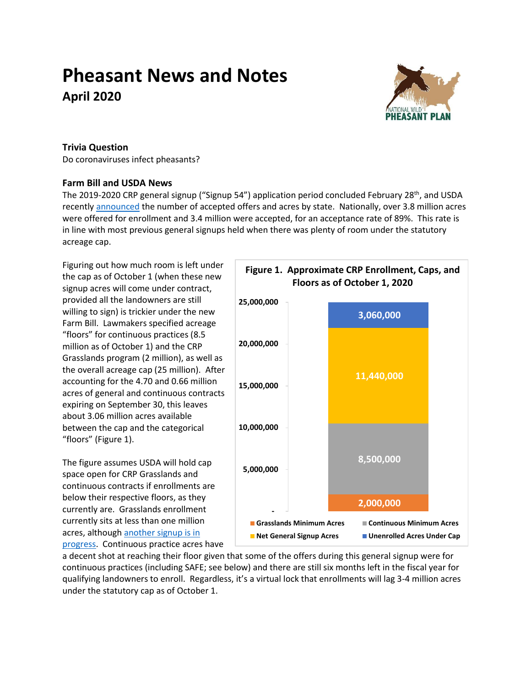# **Pheasant News and Notes April 2020**



### **Trivia Question**

Do coronaviruses infect pheasants?

## **Farm Bill and USDA News**

The 2019-2020 CRP general signup ("Signup 54") application period concluded February 28<sup>th</sup>, and USDA recently [announced](https://www.fsa.usda.gov/Assets/USDA-FSA-Public/usdafiles/Conservation/PDF/SU54StateAcceptancewithPercentages.pdf) the number of accepted offers and acres by state. Nationally, over 3.8 million acres were offered for enrollment and 3.4 million were accepted, for an acceptance rate of 89%. This rate is in line with most previous general signups held when there was plenty of room under the statutory acreage cap.

Figuring out how much room is left under the cap as of October 1 (when these new signup acres will come under contract, provided all the landowners are still willing to sign) is trickier under the new Farm Bill. Lawmakers specified acreage "floors" for continuous practices (8.5 million as of October 1) and the CRP Grasslands program (2 million), as well as the overall acreage cap (25 million). After accounting for the 4.70 and 0.66 million acres of general and continuous contracts expiring on September 30, this leaves about 3.06 million acres available between the cap and the categorical "floors" (Figure 1).

The figure assumes USDA will hold cap space open for CRP Grasslands and continuous contracts if enrollments are below their respective floors, as they currently are. Grasslands enrollment currently sits at less than one million acres, although another signup is in [progress.](https://content.govdelivery.com/accounts/USFSA/bulletins/27f8559) Continuous practice acres have



a decent shot at reaching their floor given that some of the offers during this general signup were for continuous practices (including SAFE; see below) and there are still six months left in the fiscal year for qualifying landowners to enroll. Regardless, it's a virtual lock that enrollments will lag 3-4 million acres under the statutory cap as of October 1.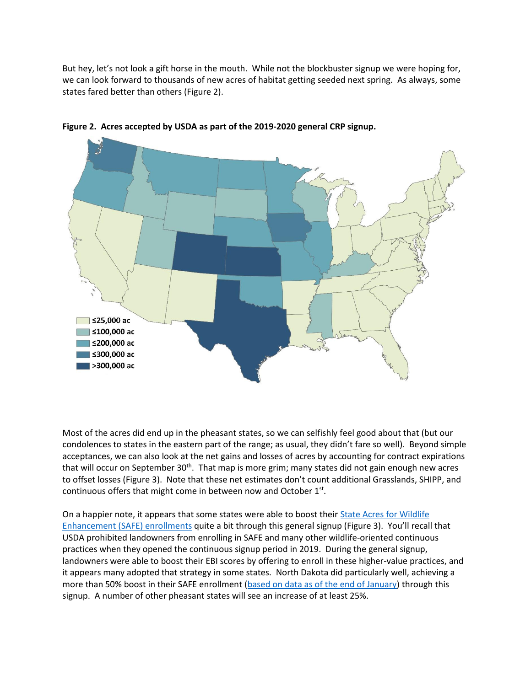But hey, let's not look a gift horse in the mouth. While not the blockbuster signup we were hoping for, we can look forward to thousands of new acres of habitat getting seeded next spring. As always, some states fared better than others (Figure 2).



**Figure 2. Acres accepted by USDA as part of the 2019-2020 general CRP signup.**

Most of the acres did end up in the pheasant states, so we can selfishly feel good about that (but our condolences to states in the eastern part of the range; as usual, they didn't fare so well). Beyond simple acceptances, we can also look at the net gains and losses of acres by accounting for contract expirations that will occur on September 30<sup>th</sup>. That map is more grim; many states did not gain enough new acres to offset losses (Figure 3). Note that these net estimates don't count additional Grasslands, SHIPP, and continuous offers that might come in between now and October  $1<sup>st</sup>$ .

On a happier note, it appears that some states were able to boost their [State Acres for Wildlife](https://www.fsa.usda.gov/Assets/USDA-FSA-Public/usdafiles/Conservation/PDF/SU54%20Acceptable%20Acres%20-%20SAFE%20by%20State.pdf)  [Enhancement \(SAFE\)](https://www.fsa.usda.gov/Assets/USDA-FSA-Public/usdafiles/Conservation/PDF/SU54%20Acceptable%20Acres%20-%20SAFE%20by%20State.pdf) enrollments quite a bit through this general signup (Figure 3). You'll recall that USDA prohibited landowners from enrolling in SAFE and many other wildlife-oriented continuous practices when they opened the continuous signup period in 2019. During the general signup, landowners were able to boost their EBI scores by offering to enroll in these higher-value practices, and it appears many adopted that strategy in some states. North Dakota did particularly well, achieving a more than 50% boost in their SAFE enrollment [\(based on data as of the end of January\)](https://www.fsa.usda.gov/Assets/USDA-FSA-Public/usdafiles/Conservation/PDF/Summary%20JAN%202020.pdf) through this signup. A number of other pheasant states will see an increase of at least 25%.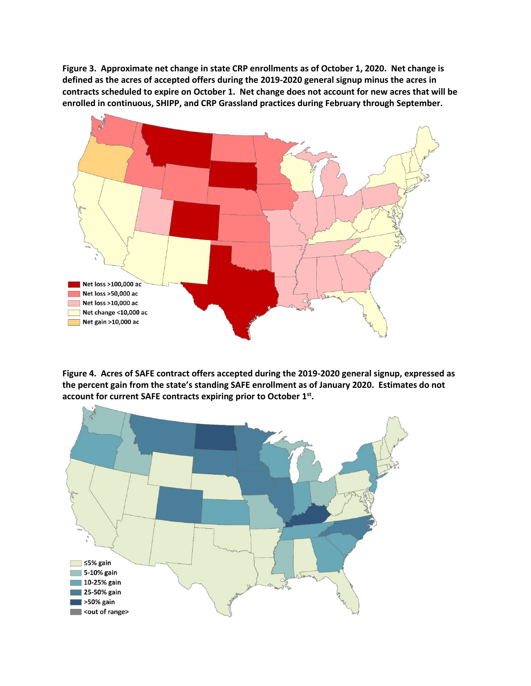**Figure 3. Approximate net change in state CRP enrollments as of October 1, 2020. Net change is defined as the acres of accepted offers during the 2019-2020 general signup minus the acres in contracts scheduled to expire on October 1. Net change does not account for new acres that will be enrolled in continuous, SHIPP, and CRP Grassland practices during February through September.**



**Figure 4. Acres of SAFE contract offers accepted during the 2019-2020 general signup, expressed as the percent gain from the state's standing SAFE enrollment as of January 2020. Estimates do not account for current SAFE contracts expiring prior to October 1st .**

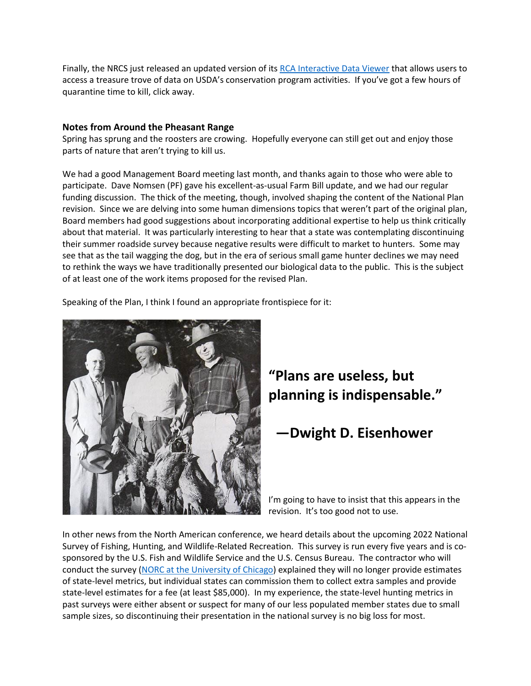Finally, the NRCS just released an updated version of it[s RCA Interactive Data Viewer](https://www.nrcs.usda.gov/wps/portal/nrcs/rca/national/technical/nra/rca/ida/) that allows users to access a treasure trove of data on USDA's conservation program activities. If you've got a few hours of quarantine time to kill, click away.

### **Notes from Around the Pheasant Range**

Spring has sprung and the roosters are crowing. Hopefully everyone can still get out and enjoy those parts of nature that aren't trying to kill us.

We had a good Management Board meeting last month, and thanks again to those who were able to participate. Dave Nomsen (PF) gave his excellent-as-usual Farm Bill update, and we had our regular funding discussion. The thick of the meeting, though, involved shaping the content of the National Plan revision. Since we are delving into some human dimensions topics that weren't part of the original plan, Board members had good suggestions about incorporating additional expertise to help us think critically about that material. It was particularly interesting to hear that a state was contemplating discontinuing their summer roadside survey because negative results were difficult to market to hunters. Some may see that as the tail wagging the dog, but in the era of serious small game hunter declines we may need to rethink the ways we have traditionally presented our biological data to the public. This is the subject of at least one of the work items proposed for the revised Plan.

Speaking of the Plan, I think I found an appropriate frontispiece for it:



# **"Plans are useless, but planning is indispensable."**

# **—Dwight D. Eisenhower**

I'm going to have to insist that this appears in the revision. It's too good not to use.

In other news from the North American conference, we heard details about the upcoming 2022 National Survey of Fishing, Hunting, and Wildlife-Related Recreation. This survey is run every five years and is cosponsored by the U.S. Fish and Wildlife Service and the U.S. Census Bureau. The contractor who will conduct the survey [\(NORC at the University of Chicago\)](https://www.norc.org/Pages/default.aspx) explained they will no longer provide estimates of state-level metrics, but individual states can commission them to collect extra samples and provide state-level estimates for a fee (at least \$85,000). In my experience, the state-level hunting metrics in past surveys were either absent or suspect for many of our less populated member states due to small sample sizes, so discontinuing their presentation in the national survey is no big loss for most.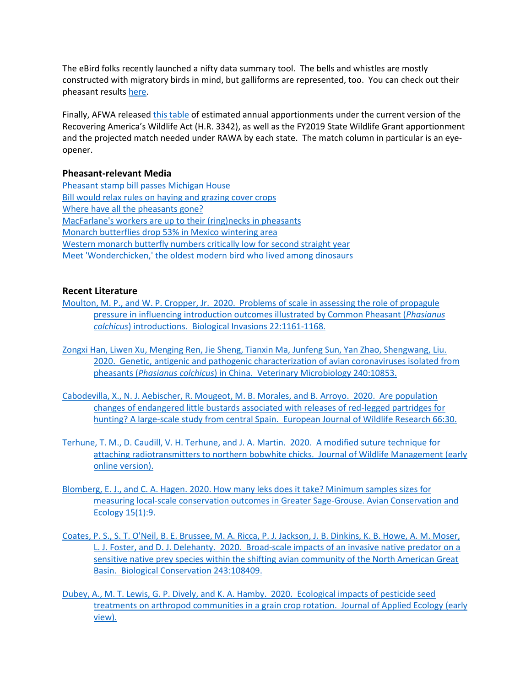The eBird folks recently launched a nifty data summary tool. The bells and whistles are mostly constructed with migratory birds in mind, but galliforms are represented, too. You can check out their pheasant results [here.](https://ebird.org/science/status-and-trends/rinphe/)

Finally, AFWA release[d this table](https://drive.google.com/file/d/1BDl0rSx9WK7SwttD16tv_k8OrOiSwaWL/view) of estimated annual apportionments under the current version of the Recovering America's Wildlife Act (H.R. 3342), as well as the FY2019 State Wildlife Grant apportionment and the projected match needed under RAWA by each state. The match column in particular is an eyeopener.

### **Pheasant-relevant Media**

[Pheasant stamp bill passes Michigan House](https://www.mlive.com/public-interest/2020/03/pheasant-stamps-emotional-support-animals-and-other-issues-michigan-lawmakers-took-up-amid-coronavirus-outbreak.html) [Bill would relax rules on haying and grazing cover crops](https://www.thune.senate.gov/public/index.cfm/press-releases?ID=23B781F0-3541-4D50-B32D-E253D9382567) [Where have all the pheasants gone?](https://www.hutchnews.com/news/20200315/where-have-all-pheasants-gone) [MacFarlane's workers are up to their \(ring\)necks in pheasants](https://www.gazettextra.com/news/local/macfarlanes-workers-are-up-to-their-ring-necks-in-pheasants/article_1803116b-9a23-5bca-9468-527df0f2b229.html) [Monarch butterflies drop 53% in Mexico wintering area](https://apnews.com/93e2577c13244fc10319126fdc1e5cda) [Western monarch butterfly numbers critically low for second straight year](https://news.mongabay.com/2020/02/western-monarch-butterfly-numbers-critically-low-for-second-straight-year/) [Meet 'Wonderchicken,' the oldest modern bird who lived among dinosaurs](https://www.cnn.com/2020/03/18/world/wonderchicken-fossil-modern-birds-scn/index.html)

### **Recent Literature**

- [Moulton, M. P., and W. P. Cropper, Jr. 2020. Problems of scale in assessing the role of propagule](https://link.springer.com/article/10.1007/s10530-019-02170-y)  [pressure in influencing introduction outcomes illustrated by Common Pheasant \(](https://link.springer.com/article/10.1007/s10530-019-02170-y)*Phasianus colchicus*[\) introductions. Biological Invasions](https://link.springer.com/article/10.1007/s10530-019-02170-y) 22:1161-1168.
- [Zongxi Han, Liwen Xu, Menging Ren, Jie Sheng, Tianxin Ma, Junfeng Sun, Yan Zhao, Shengwang, Liu.](https://www.sciencedirect.com/science/article/pii/S0378113519309253)  [2020. Genetic, antigenic and pathogenic characterization of avian coronaviruses isolated from](https://www.sciencedirect.com/science/article/pii/S0378113519309253)  pheasants (*Phasianus colchicus*[\) in China. Veterinary Microbiology 240:10853.](https://www.sciencedirect.com/science/article/pii/S0378113519309253)
- [Cabodevilla, X., N. J. Aebischer, R. Mougeot, M. B. Morales, and B. Arroyo. 2020. Are population](https://link.springer.com/article/10.1007/s10344-020-1366-3)  [changes of endangered little bustards associated with releases of red-legged partridges for](https://link.springer.com/article/10.1007/s10344-020-1366-3)  [hunting? A large-scale study from central Spain. European Journal of Wildlife Research 66:30.](https://link.springer.com/article/10.1007/s10344-020-1366-3)
- [Terhune, T. M., D. Caudill, V. H. Terhune, and J. A. Martin. 2020. A modified suture technique for](https://doi.org/10.1002/wsb.1077)  [attaching radiotransmitters to northern bobwhite chicks. Journal of Wildlife Management \(early](https://doi.org/10.1002/wsb.1077)  [online version\).](https://doi.org/10.1002/wsb.1077)
- [Blomberg, E. J., and C. A. Hagen. 2020. How many leks does it take? Minimum samples sizes for](http://www.ace-eco.org/vol15/iss1/art9/)  [measuring local-scale conservation outcomes in Greater Sage-Grouse. Avian Conservation and](http://www.ace-eco.org/vol15/iss1/art9/)  [Ecology 15\(1\):9.](http://www.ace-eco.org/vol15/iss1/art9/)
- [Coates, P. S., S.](https://www.sciencedirect.com/science/article/abs/pii/S0006320719312820) T. O'Neil, B. E. Brussee, M. A. Ricca, P. J. Jackson, J. B. Dinkins, K. B. Howe, A. M. Moser, L. J. Foster, and D. J. [Delehanty. 2020. Broad-scale impacts of an invasive native predator on a](https://www.sciencedirect.com/science/article/abs/pii/S0006320719312820)  [sensitive native prey species within the shifting avian community of the North American Great](https://www.sciencedirect.com/science/article/abs/pii/S0006320719312820)  [Basin. Biological Conservation 243:108409.](https://www.sciencedirect.com/science/article/abs/pii/S0006320719312820)
- [Dubey, A., M. T. Lewis, G. P. Dively, and K. A. Hamby. 2020. Ecological impacts of pesticide seed](https://besjournals.onlinelibrary.wiley.com/doi/full/10.1111/1365-2664.13595)  [treatments on arthropod communities in a grain crop rotation. Journal of Applied Ecology \(early](https://besjournals.onlinelibrary.wiley.com/doi/full/10.1111/1365-2664.13595)  [view\).](https://besjournals.onlinelibrary.wiley.com/doi/full/10.1111/1365-2664.13595)